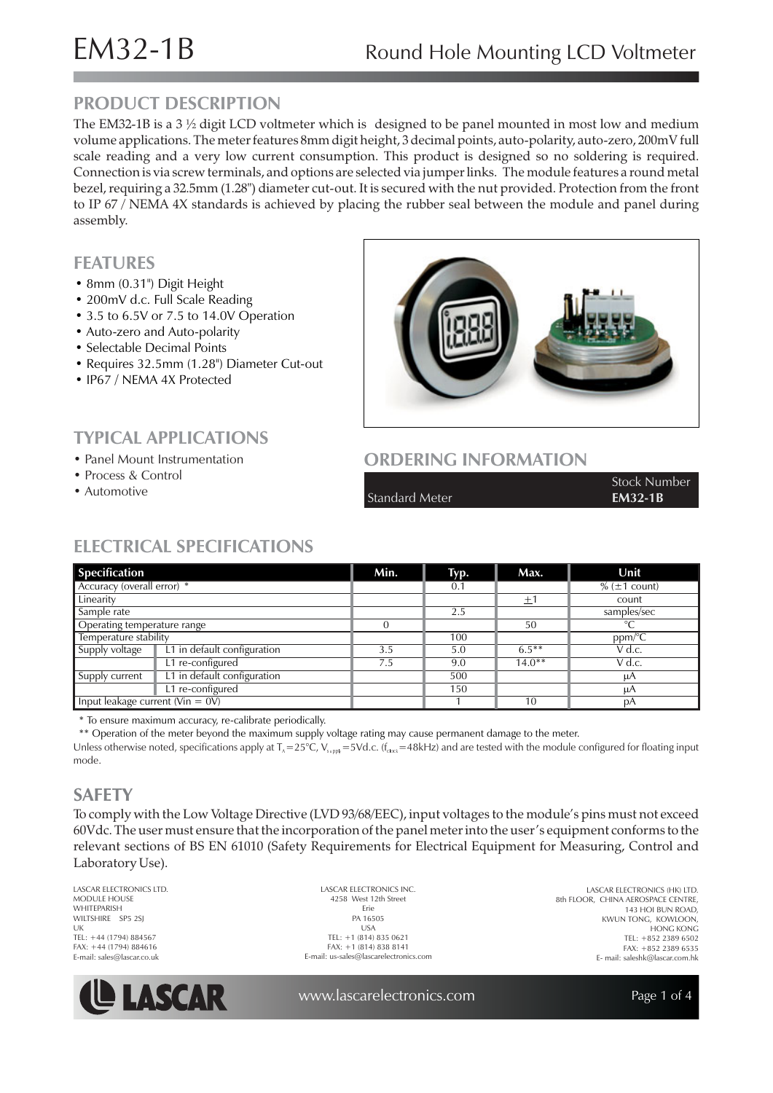# **PRODUCT DESCRIPTION**

The EM32-1B is a 3  $\frac{1}{2}$  digit LCD voltmeter which is designed to be panel mounted in most low and medium volume applications. The meter features 8mm digit height, 3 decimal points, auto-polarity, auto-zero, 200mV full scale reading and a very low current consumption. This product is designed so no soldering is required. Connection is via screw terminals, and options are selected via jumper links. The module features a round metal bezel, requiring a 32.5mm (1.28") diameter cut-out. It is secured with the nut provided. Protection from the front to IP 67 / NEMA 4X standards is achieved by placing the rubber seal between the module and panel during assembly.

## **FEATURES**

- 8 mm (0.31") Digit Height
- 200mV d.c. Full Scale Reading
- 3.5 to 6.5V or 7.5 to 14.0V Operation
- Auto-zero and Auto-polarity

**TYPICAL APPLICATIONS** • Panel Mount Instrumentation

- Selectable Decimal Points
- Requires 32.5mm (1.28") Diameter Cut-out
- IP67 / NEMA 4X Protected

• Process & Control • Automotive



# **ORDERING INFORMATION**

Standard Meter **EM32-1B** 

Stock Number

# **ELECTRICAL SPECIFICATIONS**

| <b>Specification</b>                |                             | Min. | Typ. | Max.      | Unit                 |
|-------------------------------------|-----------------------------|------|------|-----------|----------------------|
| Accuracy (overall error) *          |                             |      | 0.1  |           | $% (\pm 1$ count)    |
| Linearity                           |                             |      |      | 土         | count                |
| Sample rate                         |                             |      | 2.5  |           | samples/sec          |
| Operating temperature range         |                             |      |      | 50        | $^{\circ}C$          |
| Temperature stability               |                             |      | 100  |           | $ppm$ <sup>o</sup> C |
| Supply voltage                      | L1 in default configuration | 3.5  | 5.0  | $6.5***$  | V d.c.               |
|                                     | L1 re-configured            | 7.5  | 9.0  | $14.0***$ | $V$ d.c.             |
| Supply current                      | L1 in default configuration |      | 500  |           | μA                   |
|                                     | L1 re-configured            |      | 150  |           | μA                   |
| Input leakage current ( $V\in OV$ ) |                             |      |      | 10        | рA                   |

\* To ensure maximum accuracy, re-calibrate periodically.

\*\* Operation of the meter beyond the maximum supply voltage rating may cause permanent damage to the meter.

Unless otherwise noted, specifications apply at T $_{\star}=25^{\circ}$ C, V $_{\sf supp}$  = 5Vd.c. (f $_{\sf clock}=48$ kHz) and are tested with the module configured for floating input mode.

# **SAFETY**

To comply with the Low Voltage Directive (LVD 93/68/EEC), input voltages to the module's pins must not exceed 60Vdc. The user must ensure that the incorporation of the panel meter into the user's equipment conforms to the relevant sections of BS EN 61010 (Safety Requirements for Electrical Equipment for Measuring, Control and Laboratory Use).

LASCAR ELECTRONICS LTD. MODULE HOUSE WHITEPARISH WILTSHIRE SP5 2SJ  $\overline{U}$ TEL: +44 (1794) 884567 FAX: +44 (1794) 884616 E-mail: sales@lascar.co.uk



LASCAR ELECTRONICS INC. 4258 West 12th Street Erie PA 16505  $IISA$ TEL: +1 (814) 835 0621 FAX: +1 (814) 838 8141 E-mail: us-sales@lascarelectronics.com

LASCAR ELECTRONICS (HK) LTD. 8th FLOOR, CHINA AEROSPACE CENTRE, 143 HOI BUN ROAD, KWUN TONG, KOWLOON, HONG KONG TEL: +852 2389 6502 FAX: +852 2389 6535 E- mail: saleshk@lascar.com.hk

www.lascarelectronics.com

Page 1 of 4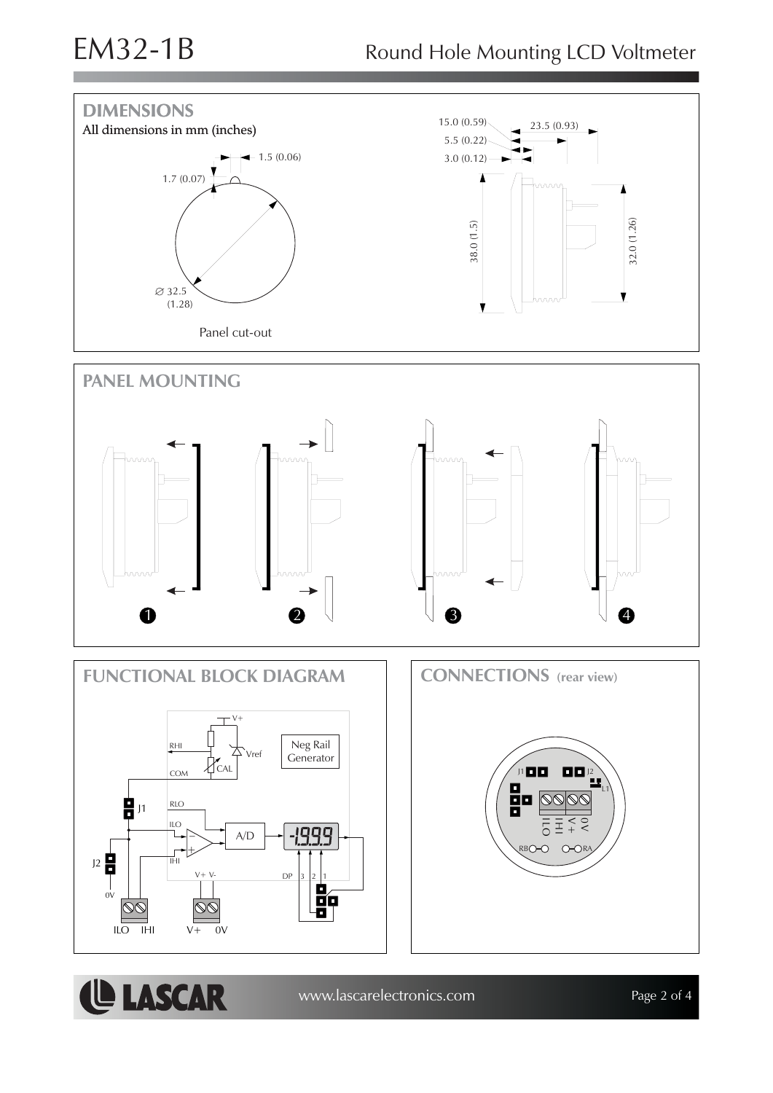**LASCAR** 



www.lascarelectronics.com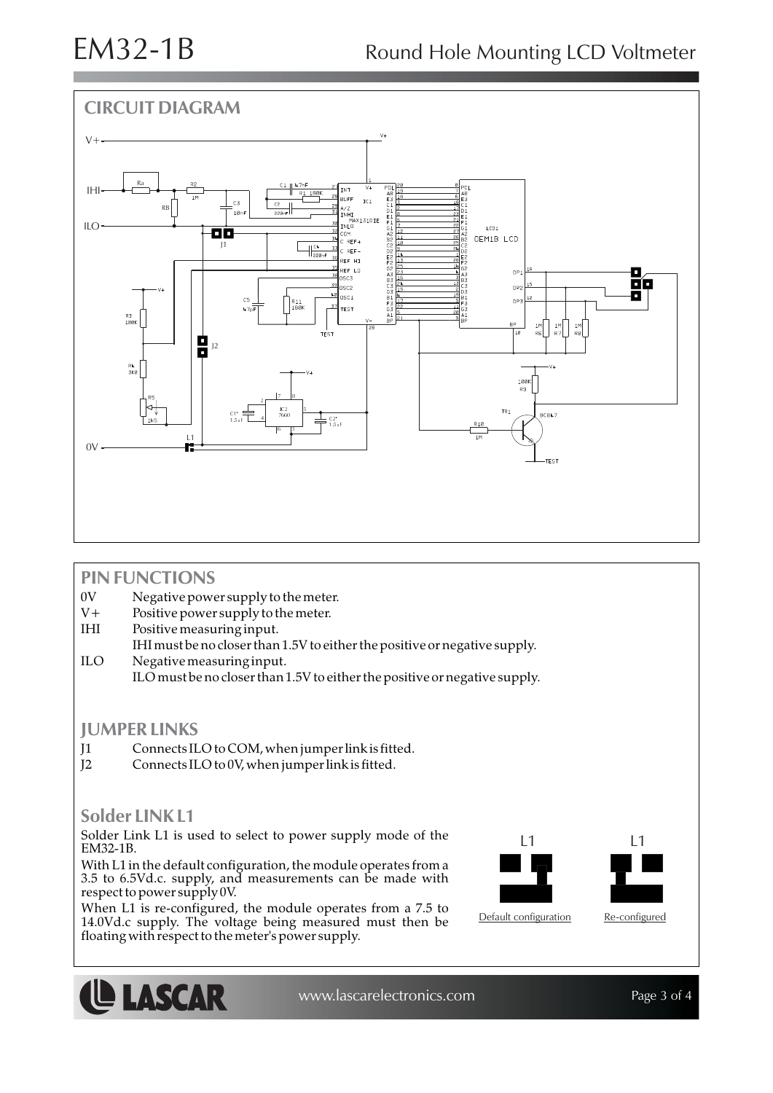

## **PIN FUNCTIONS**

- 0V Negative power supply to the meter.
- V+ Positive power supply to the meter.
- IHI Positive measuring input.
- IHI must be no closer than 1.5V to either the positive or negative supply. ILO Negative measuring input.
	- ILO must be no closer than 1.5V to either the positive or negative supply.

### **JUMPER LINKS**

- J1 Connects ILO to COM, when jumper link is fitted.
- J2 Connects ILO to 0V, when jumper link is fitted.

## **Solder LINK L1**

Solder Link L1 is used to select to power supply mode of the  $\begin{array}{ccc} \text{L1} & \text{L2} \\ \text{L3} & \text{L4} \end{array}$ EM32-1B.

With L1 in the default configuration, the module operates from a 3.5 to 6.5Vd.c. supply, and measurements can be made with respect to power supply 0V.

When L1 is re-configured, the module operates from a 7.5 to 14.0Vd.c supply. The voltage being measured must then be floating with respect to the meter's power supply.





www.lascarelectronics.com